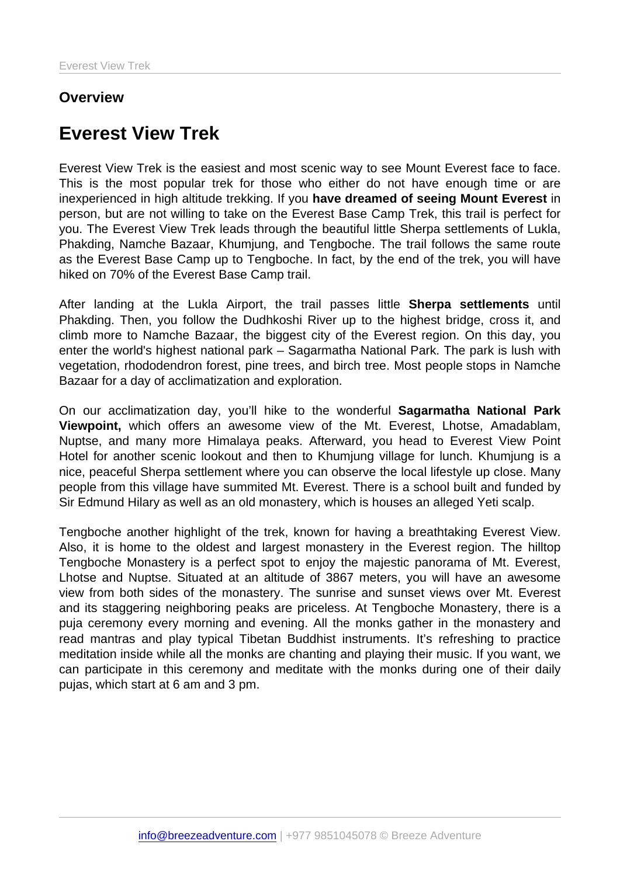## **Overview**

# Everest View Trek

Everest View Trek is the easiest and most scenic way to see Mount Everest face to face. This is the most popular trek for those who either do not have enough time or are inexperienced in high altitude trekking. If you have dreamed of seeing Mount Everest in person, but are not willing to take on the Everest Base Camp Trek, this trail is perfect for you. The Everest View Trek leads through the beautiful little Sherpa settlements of Lukla, Phakding, Namche Bazaar, Khumjung, and Tengboche. The trail follows the same route as the Everest Base Camp up to Tengboche. In fact, by the end of the trek, you will have hiked on 70% of the Everest Base Camp trail.

After landing at the Lukla Airport, the trail passes little Sherpa settlements until Phakding. Then, you follow the Dudhkoshi River up to the highest bridge, cross it, and climb more to Namche Bazaar, the biggest city of the Everest region. On this day, you enter the world's highest national park – Sagarmatha National Park. The park is lush with vegetation, rhododendron forest, pine trees, and birch tree. Most people stops in Namche Bazaar for a day of acclimatization and exploration.

On our acclimatization day, you'll hike to the wonderful Sagarmatha National Park Viewpoint, which offers an awesome view of the Mt. Everest, Lhotse, Amadablam, Nuptse, and many more Himalaya peaks. Afterward, you head to Everest View Point Hotel for another scenic lookout and then to Khumjung village for lunch. Khumjung is a nice, peaceful Sherpa settlement where you can observe the local lifestyle up close. Many people from this village have summited Mt. Everest. There is a school built and funded by Sir Edmund Hilary as well as an old monastery, which is houses an alleged Yeti scalp.

Tengboche another highlight of the trek, known for having a breathtaking Everest View. Also, it is home to the oldest and largest monastery in the Everest region. The hilltop Tengboche Monastery is a perfect spot to enjoy the majestic panorama of Mt. Everest, Lhotse and Nuptse. Situated at an altitude of 3867 meters, you will have an awesome view from both sides of the monastery. The sunrise and sunset views over Mt. Everest and its staggering neighboring peaks are priceless. At Tengboche Monastery, there is a puja ceremony every morning and evening. All the monks gather in the monastery and read mantras and play typical Tibetan Buddhist instruments. It's refreshing to practice meditation inside while all the monks are chanting and playing their music. If you want, we can participate in this ceremony and meditate with the monks during one of their daily pujas, which start at 6 am and 3 pm.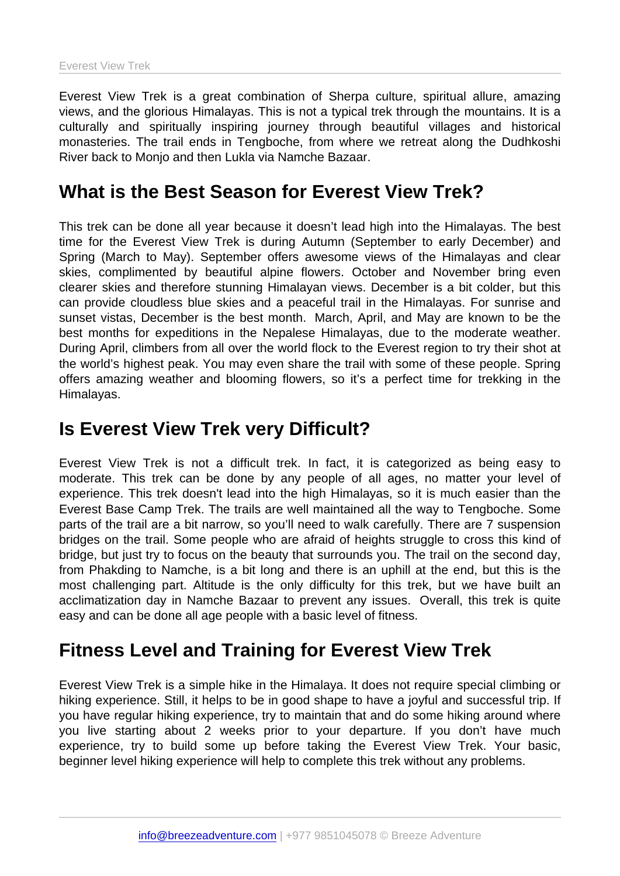Everest View Trek is a great combination of Sherpa culture, spiritual allure, amazing views, and the glorious Himalayas. This is not a typical trek through the mountains. It is a culturally and spiritually inspiring journey through beautiful villages and historical monasteries. The trail ends in Tengboche, from where we retreat along the Dudhkoshi River back to Monjo and then Lukla via Namche Bazaar.

## What is the Best Season for Everest View Trek?

This trek can be done all year because it doesn't lead high into the Himalayas. The best time for the Everest View Trek is during Autumn (September to early December) and Spring (March to May). September offers awesome views of the Himalayas and clear skies, complimented by beautiful alpine flowers. October and November bring even clearer skies and therefore stunning Himalayan views. December is a bit colder, but this can provide cloudless blue skies and a peaceful trail in the Himalayas. For sunrise and sunset vistas, December is the best month. March, April, and May are known to be the best months for expeditions in the Nepalese Himalayas, due to the moderate weather. During April, climbers from all over the world flock to the Everest region to try their shot at the world's highest peak. You may even share the trail with some of these people. Spring offers amazing weather and blooming flowers, so it's a perfect time for trekking in the Himalayas.

## Is Everest View Trek very Difficult?

Everest View Trek is not a difficult trek. In fact, it is categorized as being easy to moderate. This trek can be done by any people of all ages, no matter your level of experience. This trek doesn't lead into the high Himalayas, so it is much easier than the Everest Base Camp Trek. The trails are well maintained all the way to Tengboche. Some parts of the trail are a bit narrow, so you'll need to walk carefully. There are 7 suspension bridges on the trail. Some people who are afraid of heights struggle to cross this kind of bridge, but just try to focus on the beauty that surrounds you. The trail on the second day, from Phakding to Namche, is a bit long and there is an uphill at the end, but this is the most challenging part. Altitude is the only difficulty for this trek, but we have built an acclimatization day in Namche Bazaar to prevent any issues. Overall, this trek is quite easy and can be done all age people with a basic level of fitness.

# Fitness Level and Training for Everest View Trek

Everest View Trek is a simple hike in the Himalaya. It does not require special climbing or hiking experience. Still, it helps to be in good shape to have a joyful and successful trip. If you have regular hiking experience, try to maintain that and do some hiking around where you live starting about 2 weeks prior to your departure. If you don't have much experience, try to build some up before taking the Everest View Trek. Your basic, beginner level hiking experience will help to complete this trek without any problems.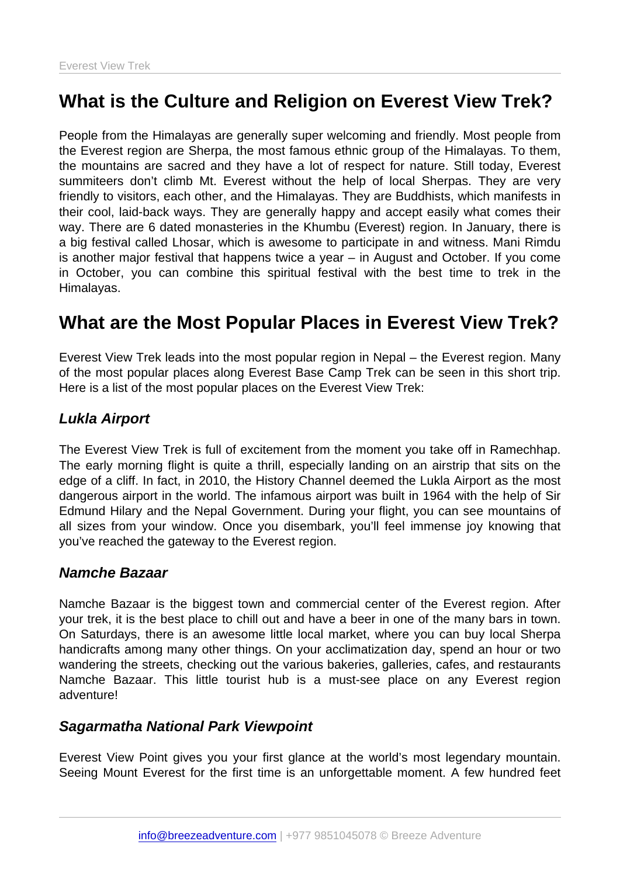# What is the Culture and Religion on Everest View Trek?

People from the Himalayas are generally super welcoming and friendly. Most people from the Everest region are Sherpa, the most famous ethnic group of the Himalayas. To them, the mountains are sacred and they have a lot of respect for nature. Still today, Everest summiteers don't climb Mt. Everest without the help of local Sherpas. They are very friendly to visitors, each other, and the Himalayas. They are Buddhists, which manifests in their cool, laid-back ways. They are generally happy and accept easily what comes their way. There are 6 dated monasteries in the Khumbu (Everest) region. In January, there is a big festival called Lhosar, which is awesome to participate in and witness. Mani Rimdu is another major festival that happens twice a year – in August and October. If you come in October, you can combine this spiritual festival with the best time to trek in the Himalayas.

# What are the Most Popular Places in Everest View Trek?

Everest View Trek leads into the most popular region in Nepal – the Everest region. Many of the most popular places along Everest Base Camp Trek can be seen in this short trip. Here is a list of the most popular places on the Everest View Trek:

#### Lukla Airport

The Everest View Trek is full of excitement from the moment you take off in Ramechhap. The early morning flight is quite a thrill, especially landing on an airstrip that sits on the edge of a cliff. In fact, in 2010, the History Channel deemed the Lukla Airport as the most dangerous airport in the world. The infamous airport was built in 1964 with the help of Sir Edmund Hilary and the Nepal Government. During your flight, you can see mountains of all sizes from your window. Once you disembark, you'll feel immense joy knowing that you've reached the gateway to the Everest region.

#### Namche Bazaar

Namche Bazaar is the biggest town and commercial center of the Everest region. After your trek, it is the best place to chill out and have a beer in one of the many bars in town. On Saturdays, there is an awesome little local market, where you can buy local Sherpa handicrafts among many other things. On your acclimatization day, spend an hour or two wandering the streets, checking out the various bakeries, galleries, cafes, and restaurants Namche Bazaar. This little tourist hub is a must-see place on any Everest region adventure!

#### Sagarmatha National Park Viewpoint

Everest View Point gives you your first glance at the world's most legendary mountain. Seeing Mount Everest for the first time is an unforgettable moment. A few hundred feet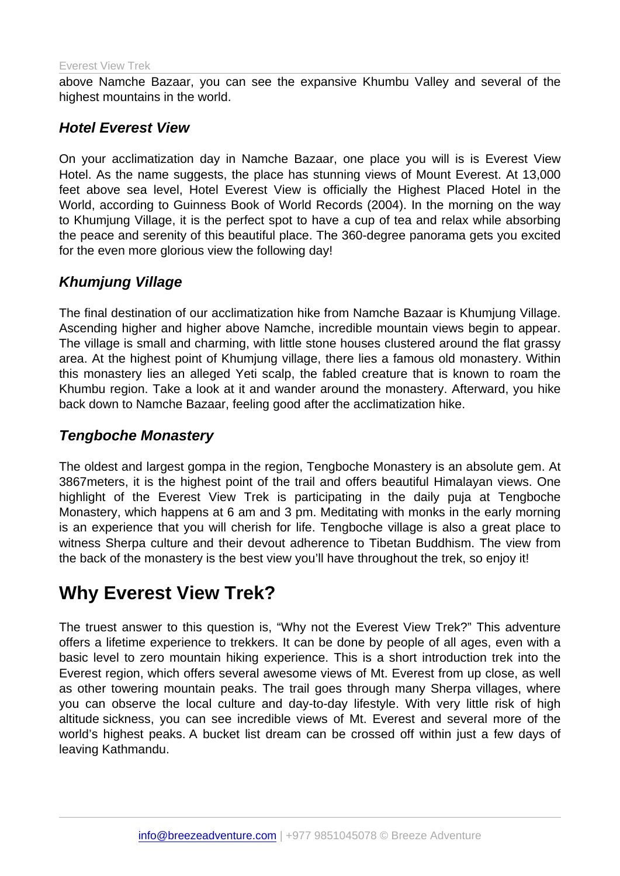above Namche Bazaar, you can see the expansive Khumbu Valley and several of the highest mountains in the world.

#### Hotel Everest View

On your acclimatization day in Namche Bazaar, one place you will is is Everest View Hotel. As the name suggests, the place has stunning views of Mount Everest. At 13,000 feet above sea level, Hotel Everest View is officially the Highest Placed Hotel in the World, according to Guinness Book of World Records (2004). In the morning on the way to Khumjung Village, it is the perfect spot to have a cup of tea and relax while absorbing the peace and serenity of this beautiful place. The 360-degree panorama gets you excited for the even more glorious view the following day!

## Khumjung Village

The final destination of our acclimatization hike from Namche Bazaar is Khumjung Village. Ascending higher and higher above Namche, incredible mountain views begin to appear. The village is small and charming, with little stone houses clustered around the flat grassy area. At the highest point of Khumjung village, there lies a famous old monastery. Within this monastery lies an alleged Yeti scalp, the fabled creature that is known to roam the Khumbu region. Take a look at it and wander around the monastery. Afterward, you hike back down to Namche Bazaar, feeling good after the acclimatization hike.

#### Tengboche Monastery

The oldest and largest gompa in the region, Tengboche Monastery is an absolute gem. At 3867meters, it is the highest point of the trail and offers beautiful Himalayan views. One highlight of the Everest View Trek is participating in the daily puja at Tengboche Monastery, which happens at 6 am and 3 pm. Meditating with monks in the early morning is an experience that you will cherish for life. Tengboche village is also a great place to witness Sherpa culture and their devout adherence to Tibetan Buddhism. The view from the back of the monastery is the best view you'll have throughout the trek, so enjoy it!

# Why Everest View Trek?

The truest answer to this question is, "Why not the Everest View Trek?" This adventure offers a lifetime experience to trekkers. It can be done by people of all ages, even with a basic level to zero mountain hiking experience. This is a short introduction trek into the Everest region, which offers several awesome views of Mt. Everest from up close, as well as other towering mountain peaks. The trail goes through many Sherpa villages, where you can observe the local culture and day-to-day lifestyle. With very little risk of high altitude sickness, you can see incredible views of Mt. Everest and several more of the world's highest peaks. A bucket list dream can be crossed off within just a few days of leaving Kathmandu.